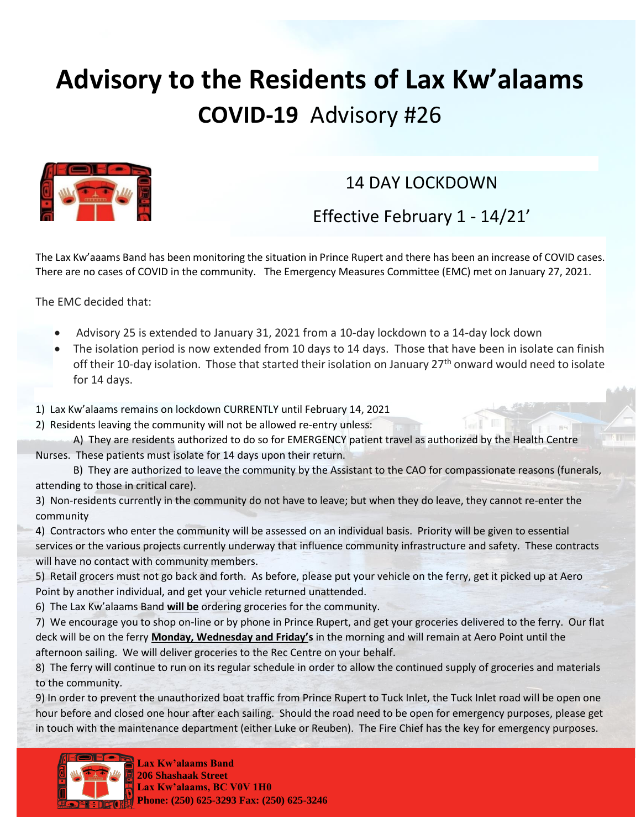## **Advisory to the Residents of Lax Kw'alaams COVID-19** Advisory #26



## 14 DAY LOCKDOWN

Effective February 1 - 14/21'

The Lax Kw'aaams Band has been monitoring the situation in Prince Rupert and there has been an increase of COVID cases. There are no cases of COVID in the community. The Emergency Measures Committee (EMC) met on January 27, 2021.

The EMC decided that:

- Advisory 25 is extended to January 31, 2021 from a 10-day lockdown to a 14-day lock down
- The isolation period is now extended from 10 days to 14 days. Those that have been in isolate can finish off their 10-day isolation. Those that started their isolation on January 27<sup>th</sup> onward would need to isolate for 14 days.
- 1) Lax Kw'alaams remains on lockdown CURRENTLY until February 14, 2021
- 2) Residents leaving the community will not be allowed re-entry unless:
- A) They are residents authorized to do so for EMERGENCY patient travel as authorized by the Health Centre Nurses. These patients must isolate for 14 days upon their return.
- B) They are authorized to leave the community by the Assistant to the CAO for compassionate reasons (funerals, attending to those in critical care).
- 3) Non-residents currently in the community do not have to leave; but when they do leave, they cannot re-enter the community
- 4) Contractors who enter the community will be assessed on an individual basis. Priority will be given to essential services or the various projects currently underway that influence community infrastructure and safety. These contracts will have no contact with community members.
- 5) Retail grocers must not go back and forth. As before, please put your vehicle on the ferry, get it picked up at Aero Point by another individual, and get your vehicle returned unattended.
- 6) The Lax Kw'alaams Band **will be** ordering groceries for the community.
- 7) We encourage you to shop on-line or by phone in Prince Rupert, and get your groceries delivered to the ferry. Our flat deck will be on the ferry **Monday, Wednesday and Friday's** in the morning and will remain at Aero Point until the afternoon sailing. We will deliver groceries to the Rec Centre on your behalf.
- 8) The ferry will continue to run on its regular schedule in order to allow the continued supply of groceries and materials to the community.

9) In order to prevent the unauthorized boat traffic from Prince Rupert to Tuck Inlet, the Tuck Inlet road will be open one hour before and closed one hour after each sailing. Should the road need to be open for emergency purposes, please get in touch with the maintenance department (either Luke or Reuben). The Fire Chief has the key for emergency purposes.